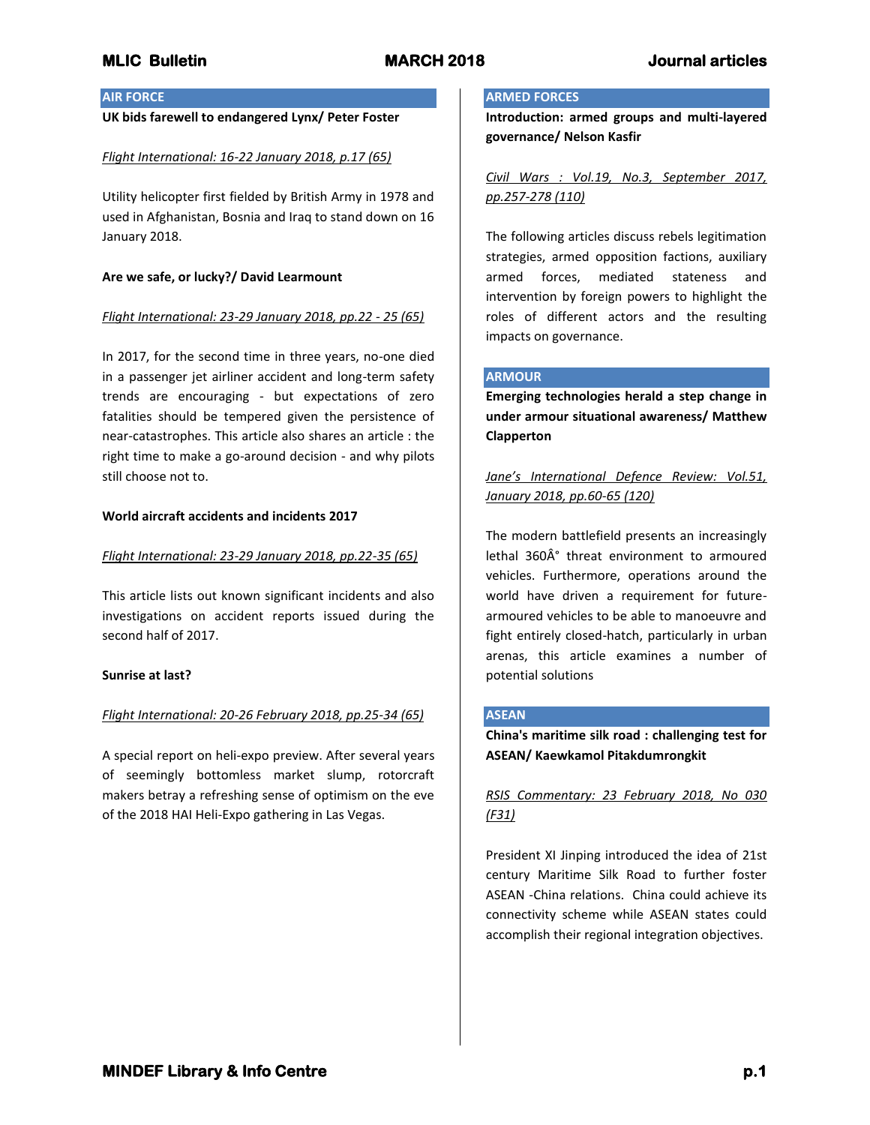## **AIR FORCE**

## **UK bids farewell to endangered Lynx/ Peter Foster**

## *Flight International: 16-22 January 2018, p.17 (65)*

Utility helicopter first fielded by British Army in 1978 and used in Afghanistan, Bosnia and Iraq to stand down on 16 January 2018.

## **Are we safe, or lucky?/ David Learmount**

## *Flight International: 23-29 January 2018, pp.22 - 25 (65)*

In 2017, for the second time in three years, no-one died in a passenger jet airliner accident and long-term safety trends are encouraging - but expectations of zero fatalities should be tempered given the persistence of near-catastrophes. This article also shares an article : the right time to make a go-around decision - and why pilots still choose not to.

## **World aircraft accidents and incidents 2017**

## *Flight International: 23-29 January 2018, pp.22-35 (65)*

This article lists out known significant incidents and also investigations on accident reports issued during the second half of 2017.

### **Sunrise at last?**

## *Flight International: 20-26 February 2018, pp.25-34 (65)*

A special report on heli-expo preview. After several years of seemingly bottomless market slump, rotorcraft makers betray a refreshing sense of optimism on the eve of the 2018 HAI Heli-Expo gathering in Las Vegas.

## **ARMED FORCES**

**Introduction: armed groups and multi-layered governance/ Nelson Kasfir**

*Civil Wars : Vol.19, No.3, September 2017, pp.257-278 (110)*

The following articles discuss rebels legitimation strategies, armed opposition factions, auxiliary armed forces, mediated stateness and intervention by foreign powers to highlight the roles of different actors and the resulting impacts on governance.

## **ARMOUR**

**Emerging technologies herald a step change in under armour situational awareness/ Matthew Clapperton**

*Jane's International Defence Review: Vol.51, January 2018, pp.60-65 (120)*

The modern battlefield presents an increasingly lethal 360Ű threat environment to armoured vehicles. Furthermore, operations around the world have driven a requirement for futurearmoured vehicles to be able to manoeuvre and fight entirely closed-hatch, particularly in urban arenas, this article examines a number of potential solutions

### **ASEAN**

**China's maritime silk road : challenging test for ASEAN/ Kaewkamol Pitakdumrongkit**

# *RSIS Commentary: 23 February 2018, No 030 (F31)*

President XI Jinping introduced the idea of 21st century Maritime Silk Road to further foster ASEAN -China relations. China could achieve its connectivity scheme while ASEAN states could accomplish their regional integration objectives.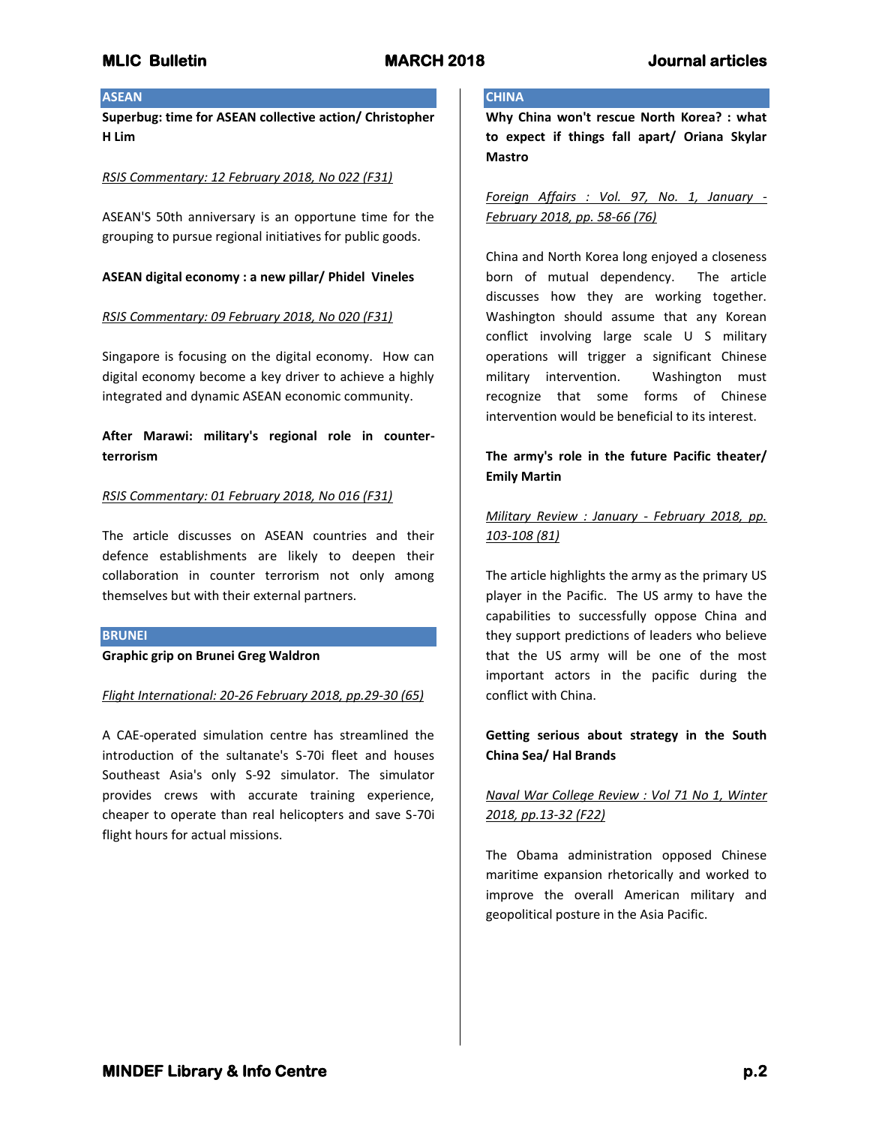## **ASEAN**

**Superbug: time for ASEAN collective action/ Christopher H Lim**

## *RSIS Commentary: 12 February 2018, No 022 (F31)*

ASEAN'S 50th anniversary is an opportune time for the grouping to pursue regional initiatives for public goods.

## **ASEAN digital economy : a new pillar/ Phidel Vineles**

## *RSIS Commentary: 09 February 2018, No 020 (F31)*

Singapore is focusing on the digital economy. How can digital economy become a key driver to achieve a highly integrated and dynamic ASEAN economic community.

# **After Marawi: military's regional role in counterterrorism**

## *RSIS Commentary: 01 February 2018, No 016 (F31)*

The article discusses on ASEAN countries and their defence establishments are likely to deepen their collaboration in counter terrorism not only among themselves but with their external partners.

## **BRUNEI**

**Graphic grip on Brunei Greg Waldron**

### *Flight International: 20-26 February 2018, pp.29-30 (65)*

A CAE-operated simulation centre has streamlined the introduction of the sultanate's S-70i fleet and houses Southeast Asia's only S-92 simulator. The simulator provides crews with accurate training experience, cheaper to operate than real helicopters and save S-70i flight hours for actual missions.

## **CHINA**

**Why China won't rescue North Korea? : what to expect if things fall apart/ Oriana Skylar Mastro**

*Foreign Affairs : Vol. 97, No. 1, January - February 2018, pp. 58-66 (76)*

China and North Korea long enjoyed a closeness born of mutual dependency. The article discusses how they are working together. Washington should assume that any Korean conflict involving large scale U S military operations will trigger a significant Chinese military intervention. Washington must recognize that some forms of Chinese intervention would be beneficial to its interest.

## **The army's role in the future Pacific theater/ Emily Martin**

*Military Review : January - February 2018, pp. 103-108 (81)*

The article highlights the army as the primary US player in the Pacific. The US army to have the capabilities to successfully oppose China and they support predictions of leaders who believe that the US army will be one of the most important actors in the pacific during the conflict with China.

# **Getting serious about strategy in the South China Sea/ Hal Brands**

# *Naval War College Review : Vol 71 No 1, Winter 2018, pp.13-32 (F22)*

The Obama administration opposed Chinese maritime expansion rhetorically and worked to improve the overall American military and geopolitical posture in the Asia Pacific.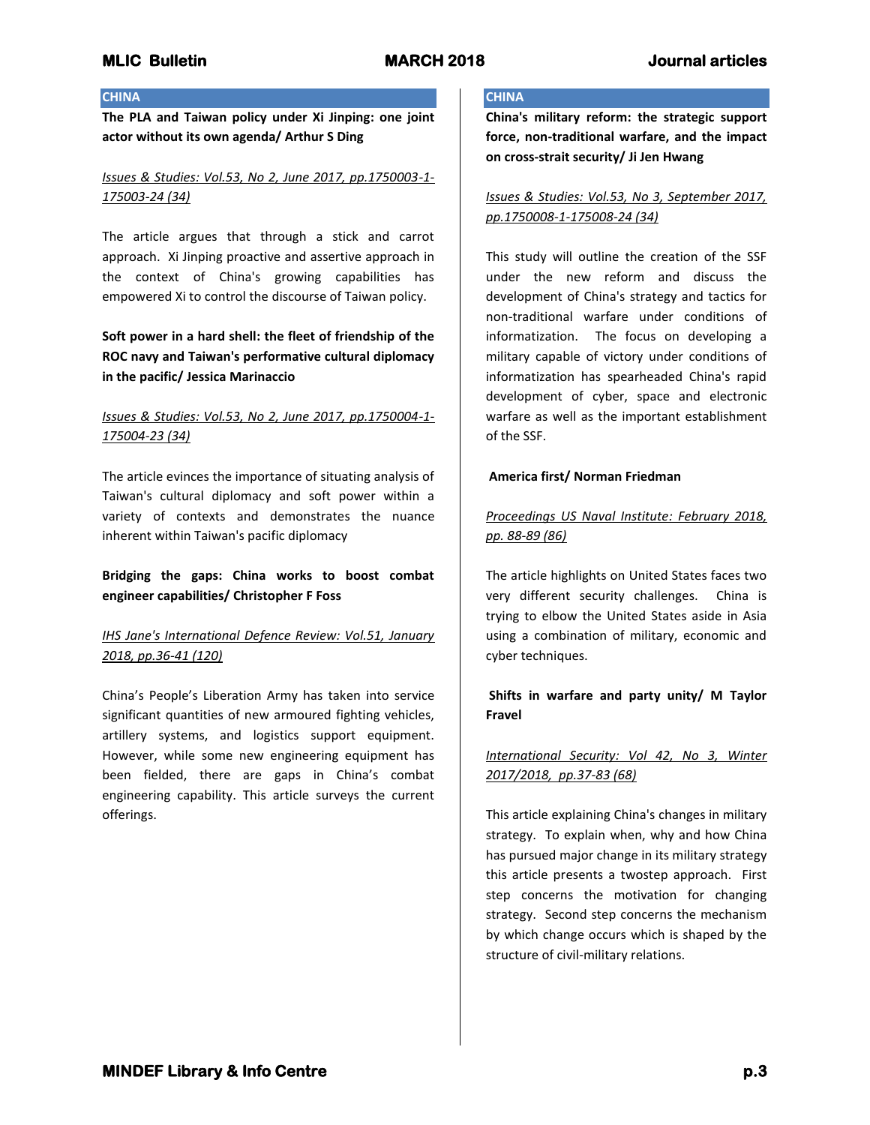## **CHINA**

**The PLA and Taiwan policy under Xi Jinping: one joint actor without its own agenda/ Arthur S Ding**

# *Issues & Studies: Vol.53, No 2, June 2017, pp.1750003-1- 175003-24 (34)*

The article argues that through a stick and carrot approach. Xi Jinping proactive and assertive approach in the context of China's growing capabilities has empowered Xi to control the discourse of Taiwan policy.

# **Soft power in a hard shell: the fleet of friendship of the ROC navy and Taiwan's performative cultural diplomacy in the pacific/ Jessica Marinaccio**

# *Issues & Studies: Vol.53, No 2, June 2017, pp.1750004-1- 175004-23 (34)*

The article evinces the importance of situating analysis of Taiwan's cultural diplomacy and soft power within a variety of contexts and demonstrates the nuance inherent within Taiwan's pacific diplomacy

**Bridging the gaps: China works to boost combat engineer capabilities/ Christopher F Foss**

# *IHS Jane's International Defence Review: Vol.51, January 2018, pp.36-41 (120)*

China's People's Liberation Army has taken into service significant quantities of new armoured fighting vehicles, artillery systems, and logistics support equipment. However, while some new engineering equipment has been fielded, there are gaps in China's combat engineering capability. This article surveys the current offerings.

## **CHINA**

**China's military reform: the strategic support force, non-traditional warfare, and the impact on cross-strait security/ Ji Jen Hwang**

*Issues & Studies: Vol.53, No 3, September 2017, pp.1750008-1-175008-24 (34)*

This study will outline the creation of the SSF under the new reform and discuss the development of China's strategy and tactics for non-traditional warfare under conditions of informatization. The focus on developing a military capable of victory under conditions of informatization has spearheaded China's rapid development of cyber, space and electronic warfare as well as the important establishment of the SSF.

## **America first/ Norman Friedman**

# *Proceedings US Naval Institute: February 2018, pp. 88-89 (86)*

The article highlights on United States faces two very different security challenges. China is trying to elbow the United States aside in Asia using a combination of military, economic and cyber techniques.

# **Shifts in warfare and party unity/ M Taylor Fravel**

# *International Security: Vol 42, No 3, Winter 2017/2018, pp.37-83 (68)*

This article explaining China's changes in military strategy. To explain when, why and how China has pursued major change in its military strategy this article presents a twostep approach. First step concerns the motivation for changing strategy. Second step concerns the mechanism by which change occurs which is shaped by the structure of civil-military relations.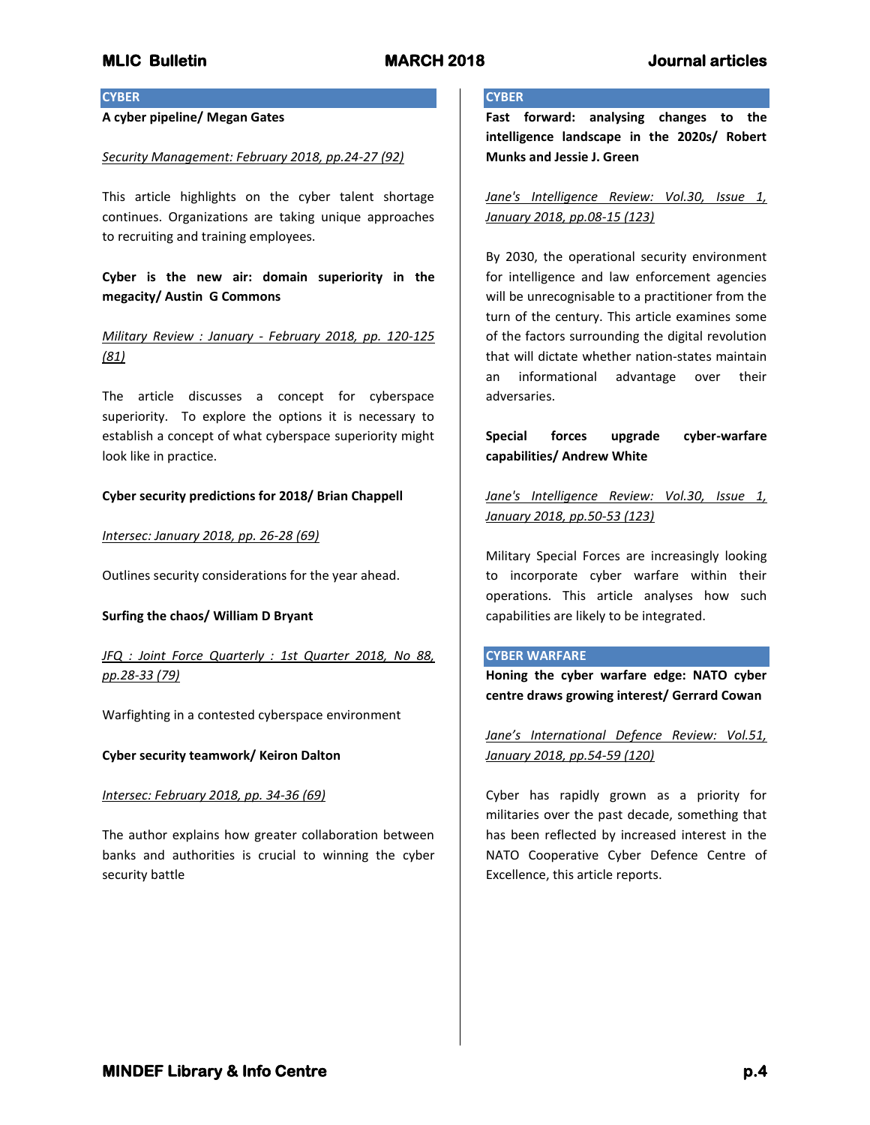## **CYBER**

## **A cyber pipeline/ Megan Gates**

### *Security Management: February 2018, pp.24-27 (92)*

This article highlights on the cyber talent shortage continues. Organizations are taking unique approaches to recruiting and training employees.

**Cyber is the new air: domain superiority in the megacity/ Austin G Commons**

## *Military Review : January - February 2018, pp. 120-125 (81)*

The article discusses a concept for cyberspace superiority. To explore the options it is necessary to establish a concept of what cyberspace superiority might look like in practice.

## **Cyber security predictions for 2018/ Brian Chappell**

*Intersec: January 2018, pp. 26-28 (69)*

Outlines security considerations for the year ahead.

## **Surfing the chaos/ William D Bryant**

*JFQ : Joint Force Quarterly : 1st Quarter 2018, No 88, pp.28-33 (79)*

Warfighting in a contested cyberspace environment

## **Cyber security teamwork/ Keiron Dalton**

## *Intersec: February 2018, pp. 34-36 (69)*

The author explains how greater collaboration between banks and authorities is crucial to winning the cyber security battle

## **CYBER**

**Fast forward: analysing changes to the intelligence landscape in the 2020s/ Robert Munks and Jessie J. Green**

*Jane's Intelligence Review: Vol.30, Issue 1, January 2018, pp.08-15 (123)*

By 2030, the operational security environment for intelligence and law enforcement agencies will be unrecognisable to a practitioner from the turn of the century. This article examines some of the factors surrounding the digital revolution that will dictate whether nation-states maintain an informational advantage over their adversaries.

**Special forces upgrade cyber-warfare capabilities/ Andrew White**

*Jane's Intelligence Review: Vol.30, Issue 1, January 2018, pp.50-53 (123)*

Military Special Forces are increasingly looking to incorporate cyber warfare within their operations. This article analyses how such capabilities are likely to be integrated.

### **CYBER WARFARE**

**Honing the cyber warfare edge: NATO cyber centre draws growing interest/ Gerrard Cowan**

*Jane's International Defence Review: Vol.51, January 2018, pp.54-59 (120)*

Cyber has rapidly grown as a priority for militaries over the past decade, something that has been reflected by increased interest in the NATO Cooperative Cyber Defence Centre of Excellence, this article reports.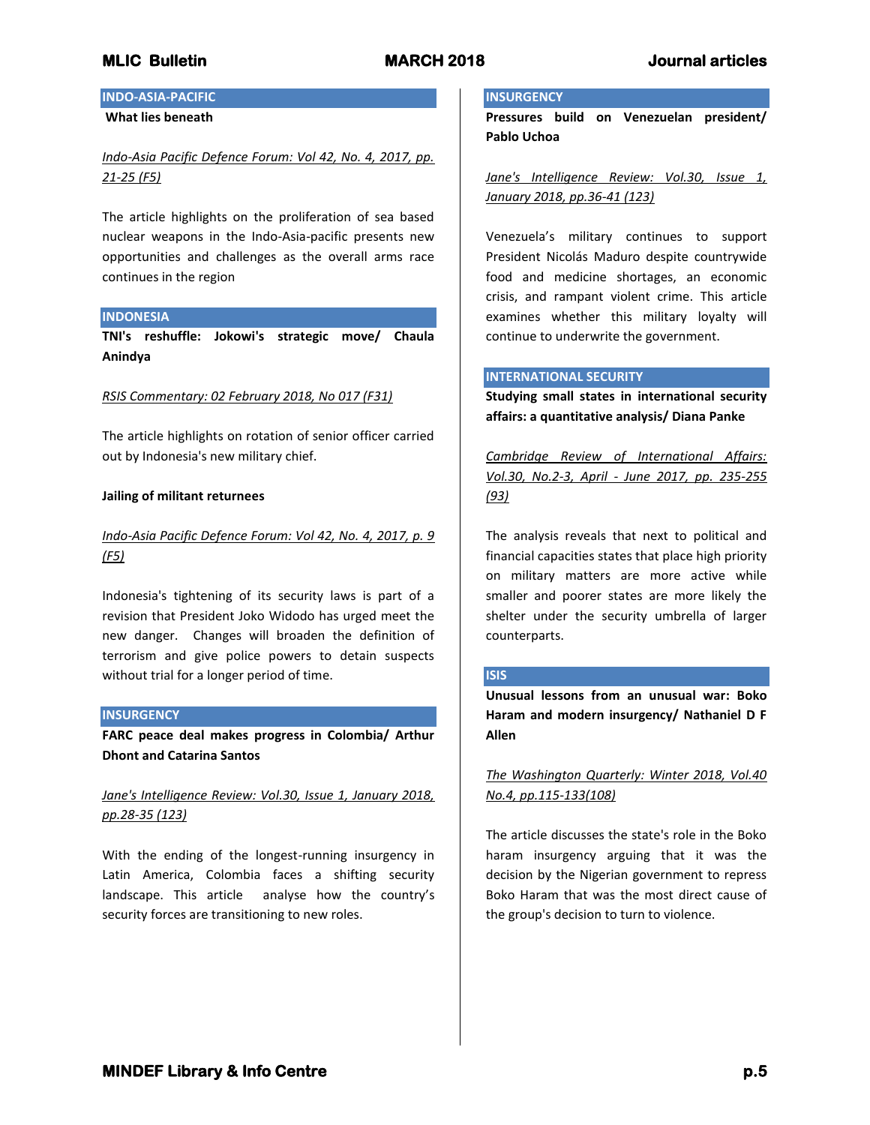# **INDO-ASIA-PACIFIC**

## **What lies beneath**

## *Indo-Asia Pacific Defence Forum: Vol 42, No. 4, 2017, pp. 21-25 (F5)*

The article highlights on the proliferation of sea based nuclear weapons in the Indo-Asia-pacific presents new opportunities and challenges as the overall arms race continues in the region

## **INDONESIA**

**TNI's reshuffle: Jokowi's strategic move/ Chaula Anindya**

### *RSIS Commentary: 02 February 2018, No 017 (F31)*

The article highlights on rotation of senior officer carried out by Indonesia's new military chief.

### **Jailing of militant returnees**

## *Indo-Asia Pacific Defence Forum: Vol 42, No. 4, 2017, p. 9 (F5)*

Indonesia's tightening of its security laws is part of a revision that President Joko Widodo has urged meet the new danger. Changes will broaden the definition of terrorism and give police powers to detain suspects without trial for a longer period of time.

### **INSURGENCY**

**FARC peace deal makes progress in Colombia/ Arthur Dhont and Catarina Santos**

# *Jane's Intelligence Review: Vol.30, Issue 1, January 2018, pp.28-35 (123)*

With the ending of the longest-running insurgency in Latin America, Colombia faces a shifting security landscape. This article analyse how the country's security forces are transitioning to new roles.

#### **INSURGENCY**

**Pressures build on Venezuelan president/ Pablo Uchoa**

*Jane's Intelligence Review: Vol.30, Issue 1, January 2018, pp.36-41 (123)*

Venezuela's military continues to support President Nicolás Maduro despite countrywide food and medicine shortages, an economic crisis, and rampant violent crime. This article examines whether this military loyalty will continue to underwrite the government.

## **INTERNATIONAL SECURITY**

**Studying small states in international security affairs: a quantitative analysis/ Diana Panke**

*Cambridge Review of International Affairs: Vol.30, No.2-3, April - June 2017, pp. 235-255 (93)*

The analysis reveals that next to political and financial capacities states that place high priority on military matters are more active while smaller and poorer states are more likely the shelter under the security umbrella of larger counterparts.

### **ISIS**

**Unusual lessons from an unusual war: Boko Haram and modern insurgency/ Nathaniel D F Allen**

# *The Washington Quarterly: Winter 2018, Vol.40 No.4, pp.115-133(108)*

The article discusses the state's role in the Boko haram insurgency arguing that it was the decision by the Nigerian government to repress Boko Haram that was the most direct cause of the group's decision to turn to violence.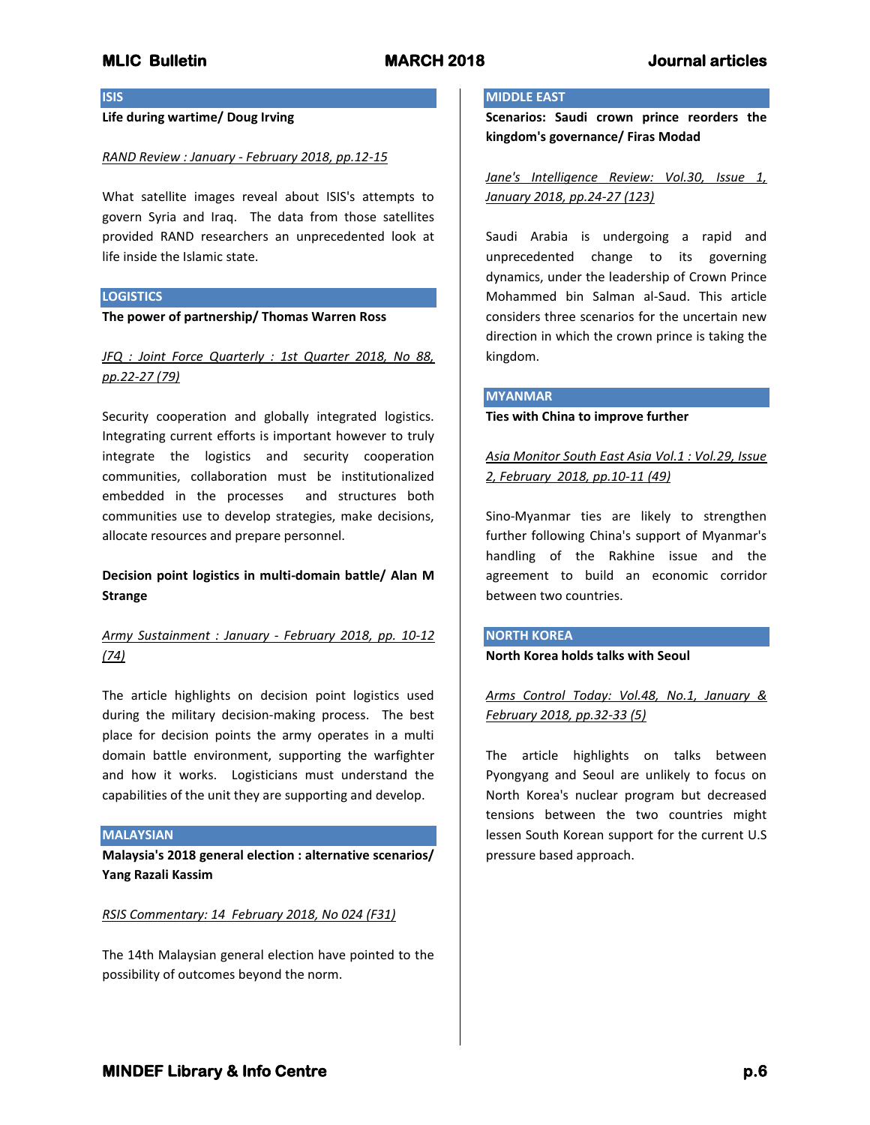**ISIS**

## **Life during wartime/ Doug Irving**

## *RAND Review : January - February 2018, pp.12-15*

What satellite images reveal about ISIS's attempts to govern Syria and Iraq. The data from those satellites provided RAND researchers an unprecedented look at life inside the Islamic state.

## **LOGISTICS**

**The power of partnership/ Thomas Warren Ross**

# *JFQ : Joint Force Quarterly : 1st Quarter 2018, No 88, pp.22-27 (79)*

Security cooperation and globally integrated logistics. Integrating current efforts is important however to truly integrate the logistics and security cooperation communities, collaboration must be institutionalized embedded in the processes and structures both communities use to develop strategies, make decisions, allocate resources and prepare personnel.

# **Decision point logistics in multi-domain battle/ Alan M Strange**

# *Army Sustainment : January - February 2018, pp. 10-12 (74)*

The article highlights on decision point logistics used during the military decision-making process. The best place for decision points the army operates in a multi domain battle environment, supporting the warfighter and how it works. Logisticians must understand the capabilities of the unit they are supporting and develop.

### **MALAYSIAN**

**Malaysia's 2018 general election : alternative scenarios/ Yang Razali Kassim**

## *RSIS Commentary: 14 February 2018, No 024 (F31)*

The 14th Malaysian general election have pointed to the possibility of outcomes beyond the norm.

### **MIDDLE EAST**

**Scenarios: Saudi crown prince reorders the kingdom's governance/ Firas Modad**

*Jane's Intelligence Review: Vol.30, Issue 1, January 2018, pp.24-27 (123)*

Saudi Arabia is undergoing a rapid and unprecedented change to its governing dynamics, under the leadership of Crown Prince Mohammed bin Salman al-Saud. This article considers three scenarios for the uncertain new direction in which the crown prince is taking the kingdom.

### **MYANMAR**

**Ties with China to improve further**

*Asia Monitor South East Asia Vol.1 : Vol.29, Issue 2, February 2018, pp.10-11 (49)*

Sino-Myanmar ties are likely to strengthen further following China's support of Myanmar's handling of the Rakhine issue and the agreement to build an economic corridor between two countries.

## **NORTH KOREA**

**North Korea holds talks with Seoul**

*Arms Control Today: Vol.48, No.1, January & February 2018, pp.32-33 (5)*

The article highlights on talks between Pyongyang and Seoul are unlikely to focus on North Korea's nuclear program but decreased tensions between the two countries might lessen South Korean support for the current U.S pressure based approach.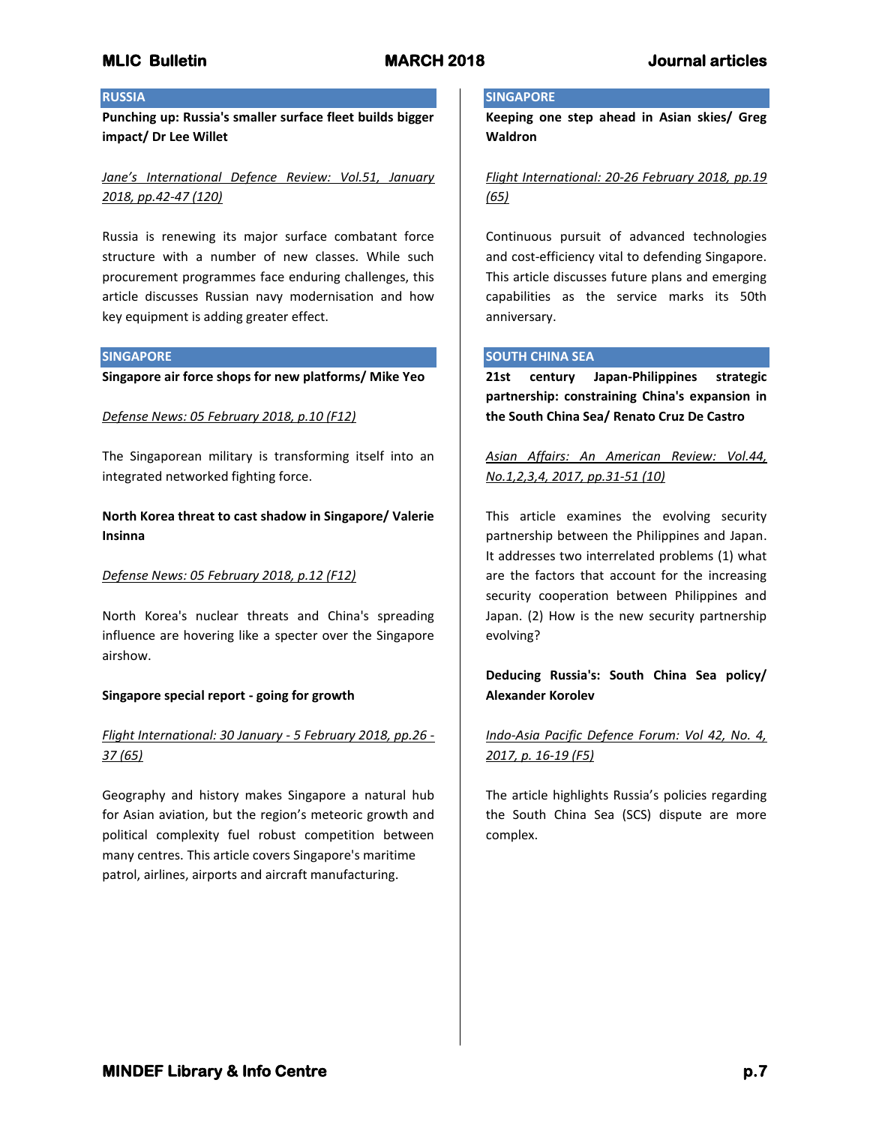## **RUSSIA**

**Punching up: Russia's smaller surface fleet builds bigger impact/ Dr Lee Willet**

*Jane's International Defence Review: Vol.51, January 2018, pp.42-47 (120)*

Russia is renewing its major surface combatant force structure with a number of new classes. While such procurement programmes face enduring challenges, this article discusses Russian navy modernisation and how key equipment is adding greater effect.

### **SINGAPORE**

**Singapore air force shops for new platforms/ Mike Yeo**

## *Defense News: 05 February 2018, p.10 (F12)*

The Singaporean military is transforming itself into an integrated networked fighting force.

**North Korea threat to cast shadow in Singapore/ Valerie Insinna**

## *Defense News: 05 February 2018, p.12 (F12)*

North Korea's nuclear threats and China's spreading influence are hovering like a specter over the Singapore airshow.

## **Singapore special report - going for growth**

# *Flight International: 30 January - 5 February 2018, pp.26 - 37 (65)*

Geography and history makes Singapore a natural hub for Asian aviation, but the region's meteoric growth and political complexity fuel robust competition between many centres. This article covers Singapore's maritime patrol, airlines, airports and aircraft manufacturing.

#### **SINGAPORE**

**Keeping one step ahead in Asian skies/ Greg Waldron**

*Flight International: 20-26 February 2018, pp.19 (65)*

Continuous pursuit of advanced technologies and cost-efficiency vital to defending Singapore. This article discusses future plans and emerging capabilities as the service marks its 50th anniversary.

### **SOUTH CHINA SEA**

**21st century Japan-Philippines strategic partnership: constraining China's expansion in the South China Sea/ Renato Cruz De Castro**

*Asian Affairs: An American Review: Vol.44, No.1,2,3,4, 2017, pp.31-51 (10)*

This article examines the evolving security partnership between the Philippines and Japan. It addresses two interrelated problems (1) what are the factors that account for the increasing security cooperation between Philippines and Japan. (2) How is the new security partnership evolving?

# **Deducing Russia's: South China Sea policy/ Alexander Korolev**

*Indo-Asia Pacific Defence Forum: Vol 42, No. 4, 2017, p. 16-19 (F5)*

The article highlights Russia's policies regarding the South China Sea (SCS) dispute are more complex.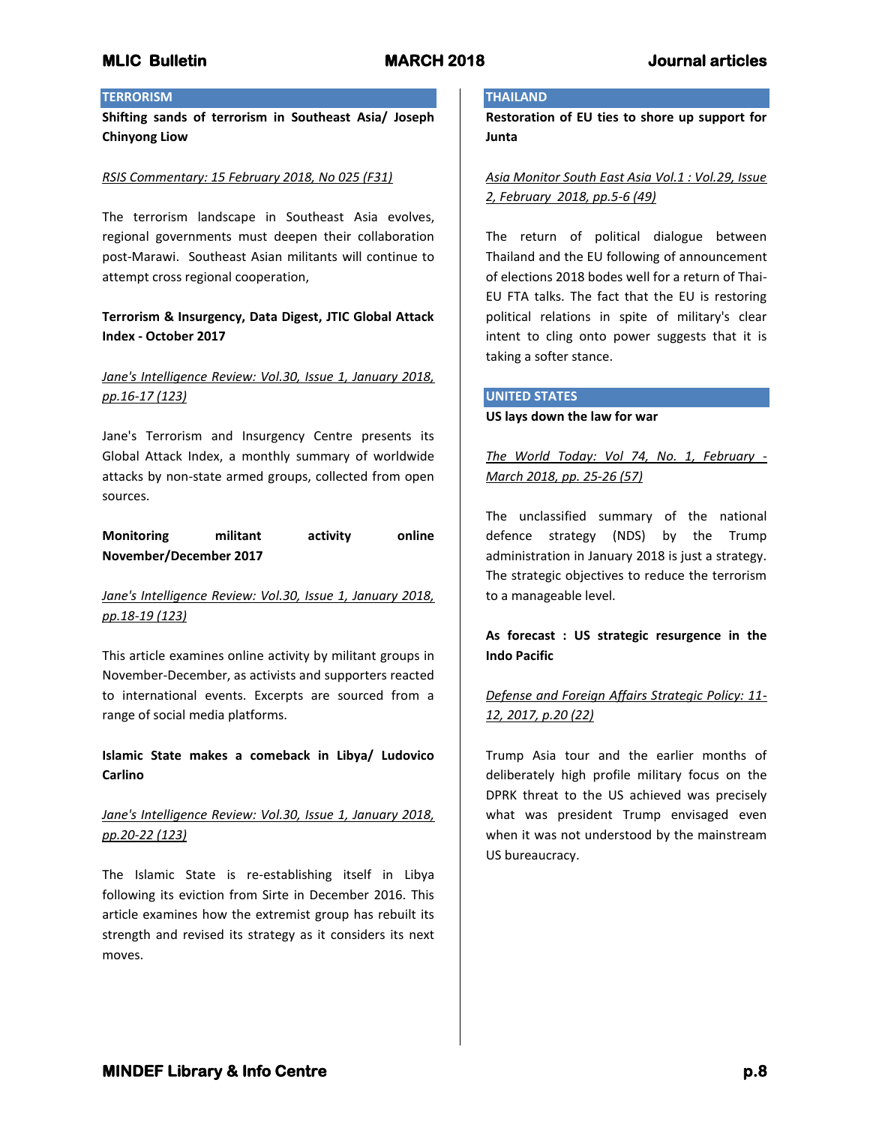# **TERRORISM**

**Shifting sands of terrorism in Southeast Asia/ Joseph Chinyong Liow**

## *RSIS Commentary: 15 February 2018, No 025 (F31)*

The terrorism landscape in Southeast Asia evolves, regional governments must deepen their collaboration post-Marawi. Southeast Asian militants will continue to attempt cross regional cooperation,

# **Terrorism & Insurgency, Data Digest, JTIC Global Attack Index - October 2017**

# *Jane's Intelligence Review: Vol.30, Issue 1, January 2018, pp.16-17 (123)*

Jane's Terrorism and Insurgency Centre presents its Global Attack Index, a monthly summary of worldwide attacks by non-state armed groups, collected from open sources.

# **Monitoring militant activity online November/December 2017**

# *Jane's Intelligence Review: Vol.30, Issue 1, January 2018, pp.18-19 (123)*

This article examines online activity by militant groups in November-December, as activists and supporters reacted to international events. Excerpts are sourced from a range of social media platforms.

**Islamic State makes a comeback in Libya/ Ludovico Carlino**

# *Jane's Intelligence Review: Vol.30, Issue 1, January 2018, pp.20-22 (123)*

The Islamic State is re-establishing itself in Libya following its eviction from Sirte in December 2016. This article examines how the extremist group has rebuilt its strength and revised its strategy as it considers its next moves.

### **THAILAND**

**Restoration of EU ties to shore up support for Junta**

*Asia Monitor South East Asia Vol.1 : Vol.29, Issue 2, February 2018, pp.5-6 (49)*

The return of political dialogue between Thailand and the EU following of announcement of elections 2018 bodes well for a return of Thai-EU FTA talks. The fact that the EU is restoring political relations in spite of military's clear intent to cling onto power suggests that it is taking a softer stance.

### **UNITED STATES**

**US lays down the law for war**

*The World Today: Vol 74, No. 1, February - March 2018, pp. 25-26 (57)*

The unclassified summary of the national defence strategy (NDS) by the Trump administration in January 2018 is just a strategy. The strategic objectives to reduce the terrorism to a manageable level.

**As forecast : US strategic resurgence in the Indo Pacific**

# *Defense and Foreign Affairs Strategic Policy: 11- 12, 2017, p.20 (22)*

Trump Asia tour and the earlier months of deliberately high profile military focus on the DPRK threat to the US achieved was precisely what was president Trump envisaged even when it was not understood by the mainstream US bureaucracy.